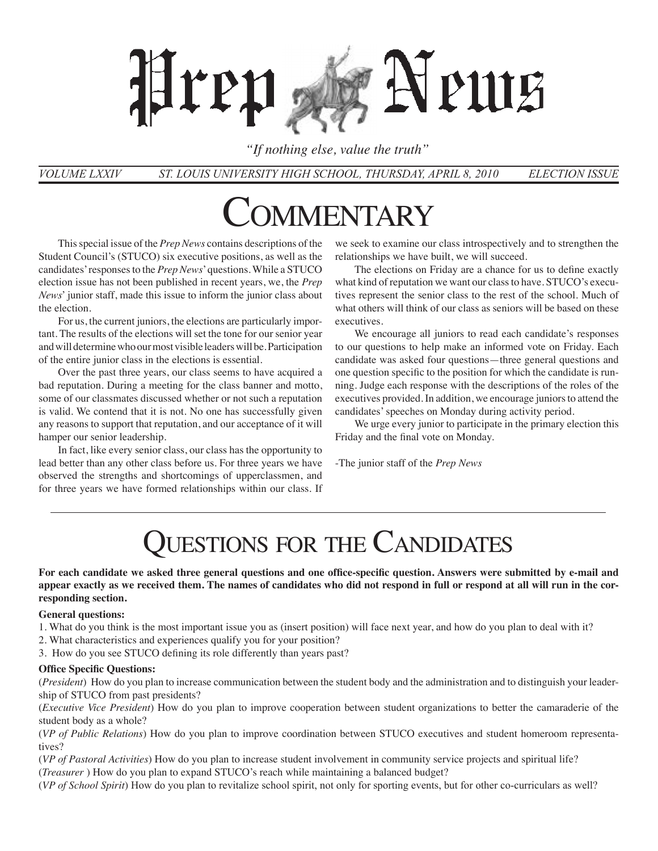# Neuus Hren

*"If nothing else, value the truth"*

*St. Louis University High School, tHUrsday, April 8, 2010 Election Issue Volume LXXIV*

# MMENTARY

This special issue of the *Prep News* contains descriptions of the Student Council's (STUCO) six executive positions, as well as the candidates' responses to the *Prep News*' questions. While a STUCO election issue has not been published in recent years, we, the *Prep News*' junior staff, made this issue to inform the junior class about the election.

For us, the current juniors, the elections are particularly important. The results of the elections will set the tone for our senior year and will determine who our most visible leaders will be. Participation of the entire junior class in the elections is essential.

Over the past three years, our class seems to have acquired a bad reputation. During a meeting for the class banner and motto, some of our classmates discussed whether or not such a reputation is valid. We contend that it is not. No one has successfully given any reasons to support that reputation, and our acceptance of it will hamper our senior leadership.

In fact, like every senior class, our class has the opportunity to lead better than any other class before us. For three years we have observed the strengths and shortcomings of upperclassmen, and for three years we have formed relationships within our class. If we seek to examine our class introspectively and to strengthen the relationships we have built, we will succeed.

The elections on Friday are a chance for us to define exactly what kind of reputation we want our class to have. STUCO's executives represent the senior class to the rest of the school. Much of what others will think of our class as seniors will be based on these executives.

We encourage all juniors to read each candidate's responses to our questions to help make an informed vote on Friday. Each candidate was asked four questions—three general questions and one question specific to the position for which the candidate is running. Judge each response with the descriptions of the roles of the executives provided. In addition, we encourage juniors to attend the candidates' speeches on Monday during activity period.

We urge every junior to participate in the primary election this Friday and the final vote on Monday.

-The junior staff of the *Prep News*

# UESTIONS FOR THE CANDIDATES

**For each candidate we asked three general questions and one office-specific question. Answers were submitted by e-mail and appear exactly as we received them. The names of candidates who did not respond in full or respond at all will run in the corresponding section.**

#### **General questions:**

- 1. What do you think is the most important issue you as (insert position) will face next year, and how do you plan to deal with it?
- 2. What characteristics and experiences qualify you for your position?
- 3. How do you see STUCO defining its role differently than years past?

#### **Office Specific Questions:**

(*President*) How do you plan to increase communication between the student body and the administration and to distinguish your leadership of STUCO from past presidents?

(*Executive Vice President*) How do you plan to improve cooperation between student organizations to better the camaraderie of the student body as a whole?

(*VP of Public Relations*) How do you plan to improve coordination between STUCO executives and student homeroom representatives?

(*VP of Pastoral Activities*) How do you plan to increase student involvement in community service projects and spiritual life? (*Treasurer* ) How do you plan to expand STUCO's reach while maintaining a balanced budget?

(*VP of School Spirit*) How do you plan to revitalize school spirit, not only for sporting events, but for other co-curriculars as well?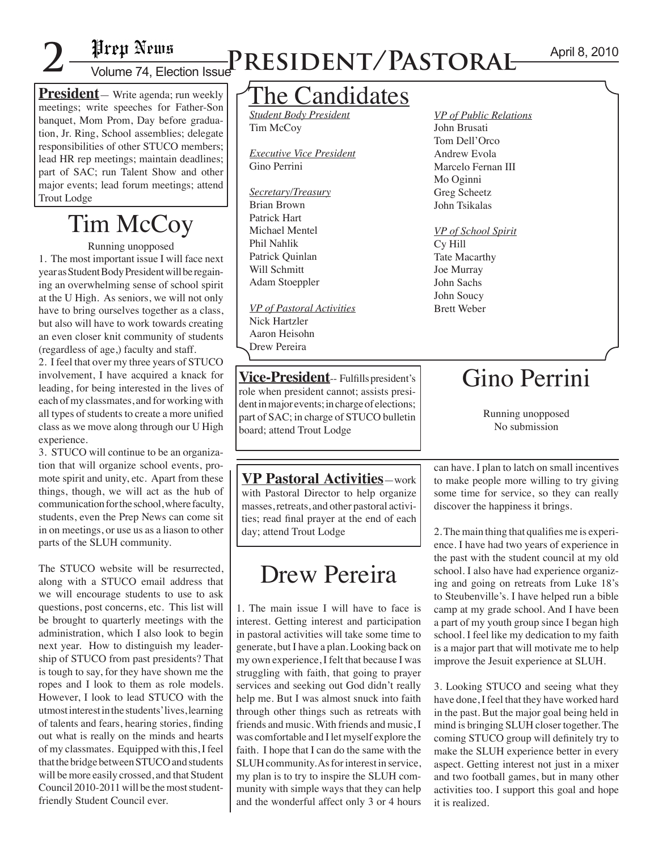**President**— Write agenda; run weekly meetings; write speeches for Father-Son banquet, Mom Prom, Day before graduation, Jr. Ring, School assemblies; delegate responsibilities of other STUCO members; lead HR rep meetings; maintain deadlines; part of SAC; run Talent Show and other major events; lead forum meetings; attend Trout Lodge

# Tim McCoy

Running unopposed

1. The most important issue I will face next year as Student Body President will be regaining an overwhelming sense of school spirit at the U High. As seniors, we will not only have to bring ourselves together as a class, but also will have to work towards creating an even closer knit community of students (regardless of age,) faculty and staff.

2. I feel that over my three years of STUCO involvement, I have acquired a knack for leading, for being interested in the lives of each of my classmates, and for working with all types of students to create a more unified class as we move along through our U High experience.

3. STUCO will continue to be an organization that will organize school events, promote spirit and unity, etc. Apart from these things, though, we will act as the hub of communication for the school, where faculty, students, even the Prep News can come sit in on meetings, or use us as a liason to other parts of the SLUH community.

The STUCO website will be resurrected, along with a STUCO email address that we will encourage students to use to ask questions, post concerns, etc. This list will be brought to quarterly meetings with the administration, which I also look to begin next year. How to distinguish my leadership of STUCO from past presidents? That is tough to say, for they have shown me the ropes and I look to them as role models. However, I look to lead STUCO with the utmost interest in the students' lives, learning of talents and fears, hearing stories, finding out what is really on the minds and hearts of my classmates. Equipped with this, I feel that the bridge between STUCO and students will be more easily crossed, and that Student Council 2010-2011 will be the most studentfriendly Student Council ever.

# April 8, 2010 **2** Volume 74, Election Issue**President/Pastoral**

### The Candidates

*Student Body President* Tim McCoy

*Executive Vice President* Gino Perrini

*Secretary/Treasury* Brian Brown Patrick Hart Michael Mentel Phil Nahlik Patrick Quinlan Will Schmitt Adam Stoeppler

*VP of Pastoral Activities* Nick Hartzler Aaron Heisohn Drew Pereira

**Vice-President**-- Fulfills president's role when president cannot; assists president in major events; in charge of elections; part of SAC; in charge of STUCO bulletin board; attend Trout Lodge

**VP Pastoral Activities**—work with Pastoral Director to help organize masses, retreats, and other pastoral activities; read final prayer at the end of each day; attend Trout Lodge

## Drew Pereira

1. The main issue I will have to face is interest. Getting interest and participation in pastoral activities will take some time to generate, but I have a plan. Looking back on my own experience, I felt that because I was struggling with faith, that going to prayer services and seeking out God didn't really help me. But I was almost snuck into faith through other things such as retreats with friends and music. With friends and music, I was comfortable and I let myself explore the faith. I hope that I can do the same with the SLUH community. As for interest in service, my plan is to try to inspire the SLUH community with simple ways that they can help and the wonderful affect only 3 or 4 hours *VP of Public Relations* John Brusati Tom Dell'Orco Andrew Evola Marcelo Fernan III Mo Oginni Greg Scheetz John Tsikalas

*VP of School Spirit* Cy Hill Tate Macarthy Joe Murray John Sachs John Soucy Brett Weber

## Gino Perrini

Running unopposed No submission

can have. I plan to latch on small incentives to make people more willing to try giving some time for service, so they can really discover the happiness it brings.

2. The main thing that qualifies me is experience. I have had two years of experience in the past with the student council at my old school. I also have had experience organizing and going on retreats from Luke 18's to Steubenville's. I have helped run a bible camp at my grade school. And I have been a part of my youth group since I began high school. I feel like my dedication to my faith is a major part that will motivate me to help improve the Jesuit experience at SLUH.

3. Looking STUCO and seeing what they have done, I feel that they have worked hard in the past. But the major goal being held in mind is bringing SLUH closer together. The coming STUCO group will definitely try to make the SLUH experience better in every aspect. Getting interest not just in a mixer and two football games, but in many other activities too. I support this goal and hope it is realized.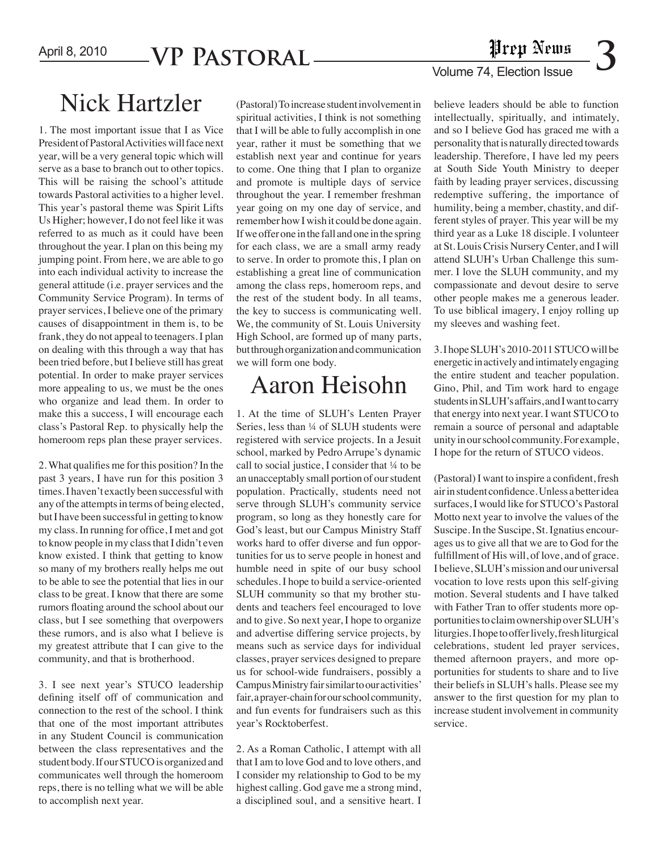### April 8, 2010 **VP PASTORAL**

# **1 Prepri Aprilis<br>
3**<br>
Volume 74, Election Issue

### Nick Hartzler (Pastoral) To increase student involvement in

1. The most important issue that I as Vice President of Pastoral Activities will face next year, will be a very general topic which will serve as a base to branch out to other topics. This will be raising the school's attitude towards Pastoral activities to a higher level. This year's pastoral theme was Spirit Lifts Us Higher; however, I do not feel like it was referred to as much as it could have been throughout the year. I plan on this being my jumping point. From here, we are able to go into each individual activity to increase the general attitude (i.e. prayer services and the Community Service Program). In terms of prayer services, I believe one of the primary causes of disappointment in them is, to be frank, they do not appeal to teenagers. I plan on dealing with this through a way that has been tried before, but I believe still has great potential. In order to make prayer services more appealing to us, we must be the ones who organize and lead them. In order to make this a success, I will encourage each class's Pastoral Rep. to physically help the homeroom reps plan these prayer services.

2. What qualifies me for this position? In the past 3 years, I have run for this position 3 times. I haven't exactly been successful with any of the attempts in terms of being elected, but I have been successful in getting to know my class. In running for office, I met and got to know people in my class that I didn't even know existed. I think that getting to know so many of my brothers really helps me out to be able to see the potential that lies in our class to be great. I know that there are some rumors floating around the school about our class, but I see something that overpowers these rumors, and is also what I believe is my greatest attribute that I can give to the community, and that is brotherhood.

3. I see next year's STUCO leadership defining itself off of communication and connection to the rest of the school. I think that one of the most important attributes in any Student Council is communication between the class representatives and the student body. If our STUCO is organized and communicates well through the homeroom reps, there is no telling what we will be able to accomplish next year.

spiritual activities, I think is not something that I will be able to fully accomplish in one year, rather it must be something that we establish next year and continue for years to come. One thing that I plan to organize and promote is multiple days of service throughout the year. I remember freshman year going on my one day of service, and remember how I wish it could be done again. If we offer one in the fall and one in the spring for each class, we are a small army ready to serve. In order to promote this, I plan on establishing a great line of communication among the class reps, homeroom reps, and the rest of the student body. In all teams, the key to success is communicating well. We, the community of St. Louis University High School, are formed up of many parts, but through organization and communication we will form one body.

# Aaron Heisohn

1. At the time of SLUH's Lenten Prayer Series, less than ¼ of SLUH students were registered with service projects. In a Jesuit school, marked by Pedro Arrupe's dynamic call to social justice, I consider that ¼ to be an unacceptably small portion of our student population. Practically, students need not serve through SLUH's community service program, so long as they honestly care for God's least, but our Campus Ministry Staff works hard to offer diverse and fun opportunities for us to serve people in honest and humble need in spite of our busy school schedules. I hope to build a service-oriented SLUH community so that my brother students and teachers feel encouraged to love and to give. So next year, I hope to organize and advertise differing service projects, by means such as service days for individual classes, prayer services designed to prepare us for school-wide fundraisers, possibly a Campus Ministry fair similar to our activities' fair, a prayer-chain for our school community, and fun events for fundraisers such as this year's Rocktoberfest.

2. As a Roman Catholic, I attempt with all that I am to love God and to love others, and I consider my relationship to God to be my highest calling. God gave me a strong mind, a disciplined soul, and a sensitive heart. I

believe leaders should be able to function intellectually, spiritually, and intimately, and so I believe God has graced me with a personality that is naturally directed towards leadership. Therefore, I have led my peers at South Side Youth Ministry to deeper faith by leading prayer services, discussing redemptive suffering, the importance of humility, being a member, chastity, and different styles of prayer. This year will be my third year as a Luke 18 disciple. I volunteer at St. Louis Crisis Nursery Center, and I will attend SLUH's Urban Challenge this summer. I love the SLUH community, and my compassionate and devout desire to serve other people makes me a generous leader. To use biblical imagery, I enjoy rolling up my sleeves and washing feet.

3. I hope SLUH's 2010-2011 STUCO will be energetic in actively and intimately engaging the entire student and teacher population. Gino, Phil, and Tim work hard to engage students in SLUH's affairs, and I want to carry that energy into next year. I want STUCO to remain a source of personal and adaptable unity in our school community. For example, I hope for the return of STUCO videos.

(Pastoral) I want to inspire a confident, fresh air in student confidence. Unless a better idea surfaces, I would like for STUCO's Pastoral Motto next year to involve the values of the Suscipe. In the Suscipe, St. Ignatius encourages us to give all that we are to God for the fulfillment of His will, of love, and of grace. I believe, SLUH's mission and our universal vocation to love rests upon this self-giving motion. Several students and I have talked with Father Tran to offer students more opportunities to claim ownership over SLUH's liturgies. I hope to offer lively, fresh liturgical celebrations, student led prayer services, themed afternoon prayers, and more opportunities for students to share and to live their beliefs in SLUH's halls. Please see my answer to the first question for my plan to increase student involvement in community service.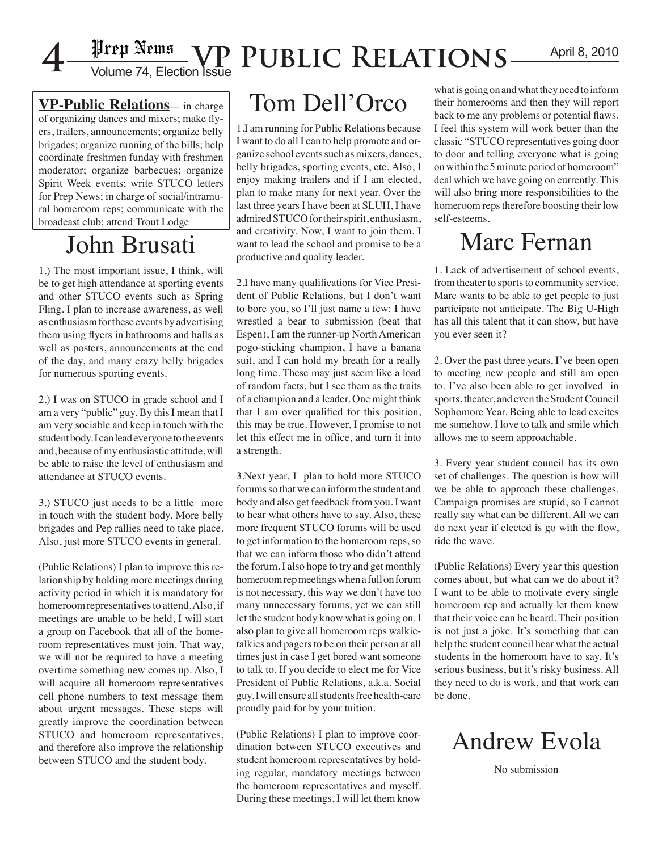

# April 8, 2010 **4** Volume 74, Election Issue **VP Public Relations**

**VP-Public Relations**— in charge of organizing dances and mixers; make flyers, trailers, announcements; organize belly brigades; organize running of the bills; help coordinate freshmen funday with freshmen moderator; organize barbecues; organize Spirit Week events; write STUCO letters for Prep News; in charge of social/intramural homeroom reps; communicate with the broadcast club; attend Trout Lodge

# John Brusati

1.) The most important issue, I think, will be to get high attendance at sporting events and other STUCO events such as Spring Fling. I plan to increase awareness, as well as enthusiasm for these events by advertising them using flyers in bathrooms and halls as well as posters, announcements at the end of the day, and many crazy belly brigades for numerous sporting events.

2.) I was on STUCO in grade school and I am a very "public" guy. By this I mean that I am very sociable and keep in touch with the student body. I can lead everyone to the events and, because of my enthusiastic attitude, will be able to raise the level of enthusiasm and attendance at STUCO events.

3.) STUCO just needs to be a little more in touch with the student body. More belly brigades and Pep rallies need to take place. Also, just more STUCO events in general.

(Public Relations) I plan to improve this relationship by holding more meetings during activity period in which it is mandatory for homeroom representatives to attend. Also, if meetings are unable to be held, I will start a group on Facebook that all of the homeroom representatives must join. That way, we will not be required to have a meeting overtime something new comes up. Also, I will acquire all homeroom representatives cell phone numbers to text message them about urgent messages. These steps will greatly improve the coordination between STUCO and homeroom representatives, and therefore also improve the relationship between STUCO and the student body.

# Tom Dell'Orco

1.I am running for Public Relations because I want to do all I can to help promote and organize school events such as mixers, dances, belly brigades, sporting events, etc. Also, I enjoy making trailers and if I am elected, plan to make many for next year. Over the last three years I have been at SLUH, I have admired STUCO for their spirit, enthusiasm, and creativity. Now, I want to join them. I want to lead the school and promise to be a productive and quality leader.

2.I have many qualifications for Vice President of Public Relations, but I don't want to bore you, so I'll just name a few: I have wrestled a bear to submission (beat that Espen), I am the runner-up North American pogo-sticking champion, I have a banana suit, and I can hold my breath for a really long time. These may just seem like a load of random facts, but I see them as the traits of a champion and a leader. One might think that I am over qualified for this position, this may be true. However, I promise to not let this effect me in office, and turn it into a strength.

3.Next year, I plan to hold more STUCO forums so that we can inform the student and body and also get feedback from you. I want to hear what others have to say. Also, these more frequent STUCO forums will be used to get information to the homeroom reps, so that we can inform those who didn't attend the forum. I also hope to try and get monthly homeroom rep meetings when a full on forum is not necessary, this way we don't have too many unnecessary forums, yet we can still let the student body know what is going on. I also plan to give all homeroom reps walkietalkies and pagers to be on their person at all times just in case I get bored want someone to talk to. If you decide to elect me for Vice President of Public Relations, a.k.a. Social guy, I will ensure all students free health-care proudly paid for by your tuition.

(Public Relations) I plan to improve coordination between STUCO executives and student homeroom representatives by holding regular, mandatory meetings between the homeroom representatives and myself. During these meetings, I will let them know

what is going on and what they need to inform their homerooms and then they will report back to me any problems or potential flaws. I feel this system will work better than the classic "STUCO representatives going door to door and telling everyone what is going on within the 5 minute period of homeroom" deal which we have going on currently. This will also bring more responsibilities to the homeroom reps therefore boosting their low self-esteems.

## Marc Fernan

1. Lack of advertisement of school events, from theater to sports to community service. Marc wants to be able to get people to just participate not anticipate. The Big U-High has all this talent that it can show, but have you ever seen it?

2. Over the past three years, I've been open to meeting new people and still am open to. I've also been able to get involved in sports, theater, and even the Student Council Sophomore Year. Being able to lead excites me somehow. I love to talk and smile which allows me to seem approachable.

3. Every year student council has its own set of challenges. The question is how will we be able to approach these challenges. Campaign promises are stupid, so I cannot really say what can be different. All we can do next year if elected is go with the flow, ride the wave.

(Public Relations) Every year this question comes about, but what can we do about it? I want to be able to motivate every single homeroom rep and actually let them know that their voice can be heard. Their position is not just a joke. It's something that can help the student council hear what the actual students in the homeroom have to say. It's serious business, but it's risky business. All they need to do is work, and that work can be done.



No submission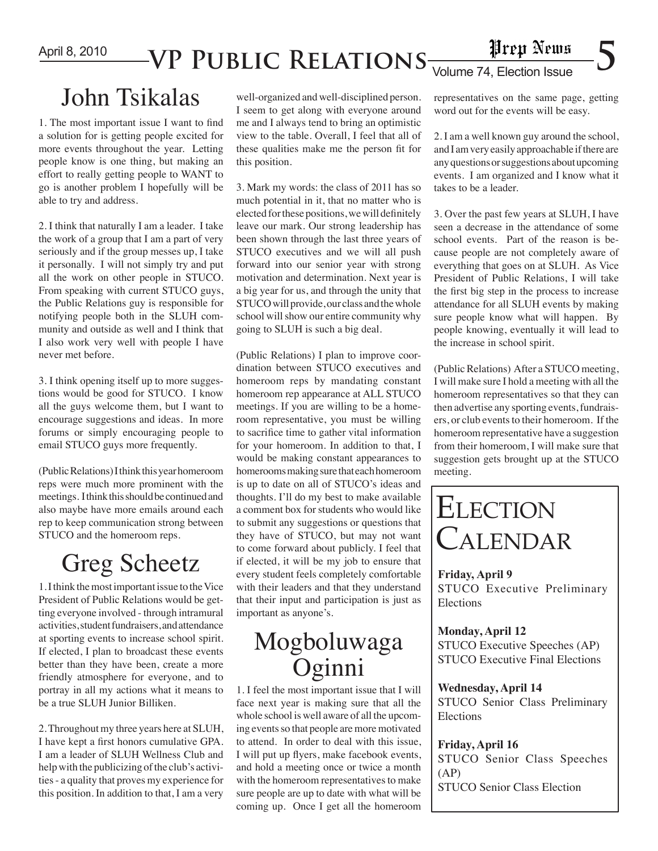April 8, 2010

# $\mathsf{VP}\ \mathsf{PUBLIC}\ \mathsf{RELATIONS}_{\overline{\mathsf{Volume}\ \mathsf{74},\ \mathsf{Election}\ \mathsf{issue}}}\ \mathsf{S}$

## John Tsikalas

1. The most important issue I want to find a solution for is getting people excited for more events throughout the year. Letting people know is one thing, but making an effort to really getting people to WANT to go is another problem I hopefully will be able to try and address.

2. I think that naturally I am a leader. I take the work of a group that I am a part of very seriously and if the group messes up, I take it personally. I will not simply try and put all the work on other people in STUCO. From speaking with current STUCO guys, the Public Relations guy is responsible for notifying people both in the SLUH community and outside as well and I think that I also work very well with people I have never met before.

3. I think opening itself up to more suggestions would be good for STUCO. I know all the guys welcome them, but I want to encourage suggestions and ideas. In more forums or simply encouraging people to email STUCO guys more frequently.

(Public Relations) I think this year homeroom reps were much more prominent with the meetings. I think this should be continued and also maybe have more emails around each rep to keep communication strong between STUCO and the homeroom reps.

# Greg Scheetz

1. I think the most important issue to the Vice President of Public Relations would be getting everyone involved - through intramural activities, student fundraisers, and attendance at sporting events to increase school spirit. If elected, I plan to broadcast these events better than they have been, create a more friendly atmosphere for everyone, and to portray in all my actions what it means to be a true SLUH Junior Billiken.

2. Throughout my three years here at SLUH, I have kept a first honors cumulative GPA. I am a leader of SLUH Wellness Club and help with the publicizing of the club's activities - a quality that proves my experience for this position. In addition to that, I am a very

well-organized and well-disciplined person. I seem to get along with everyone around me and I always tend to bring an optimistic view to the table. Overall, I feel that all of these qualities make me the person fit for this position.

3. Mark my words: the class of 2011 has so much potential in it, that no matter who is elected for these positions, we will definitely leave our mark. Our strong leadership has been shown through the last three years of STUCO executives and we will all push forward into our senior year with strong motivation and determination. Next year is a big year for us, and through the unity that STUCO will provide, our class and the whole school will show our entire community why going to SLUH is such a big deal.

(Public Relations) I plan to improve coordination between STUCO executives and homeroom reps by mandating constant homeroom rep appearance at ALL STUCO meetings. If you are willing to be a homeroom representative, you must be willing to sacrifice time to gather vital information for your homeroom. In addition to that, I would be making constant appearances to homerooms making sure that each homeroom is up to date on all of STUCO's ideas and thoughts. I'll do my best to make available a comment box for students who would like to submit any suggestions or questions that they have of STUCO, but may not want to come forward about publicly. I feel that if elected, it will be my job to ensure that every student feels completely comfortable with their leaders and that they understand that their input and participation is just as important as anyone's.

### Mogboluwaga Oginni

1. I feel the most important issue that I will face next year is making sure that all the whole school is well aware of all the upcoming events so that people are more motivated to attend. In order to deal with this issue, I will put up flyers, make facebook events, and hold a meeting once or twice a month with the homeroom representatives to make sure people are up to date with what will be coming up. Once I get all the homeroom

representatives on the same page, getting word out for the events will be easy.

2. I am a well known guy around the school, and I am very easily approachable if there are any questions or suggestions about upcoming events. I am organized and I know what it takes to be a leader.

3. Over the past few years at SLUH, I have seen a decrease in the attendance of some school events. Part of the reason is because people are not completely aware of everything that goes on at SLUH. As Vice President of Public Relations, I will take the first big step in the process to increase attendance for all SLUH events by making sure people know what will happen. By people knowing, eventually it will lead to the increase in school spirit.

(Public Relations) After a STUCO meeting, I will make sure I hold a meeting with all the homeroom representatives so that they can then advertise any sporting events, fundraisers, or club events to their homeroom. If the homeroom representative have a suggestion from their homeroom, I will make sure that suggestion gets brought up at the STUCO meeting.



**Friday, April 9** STUCO Executive Preliminary Elections

#### **Monday, April 12**

STUCO Executive Speeches (AP) STUCO Executive Final Elections

#### **Wednesday, April 14**

STUCO Senior Class Preliminary Elections

#### **Friday, April 16**

STUCO Senior Class Speeches (AP) STUCO Senior Class Election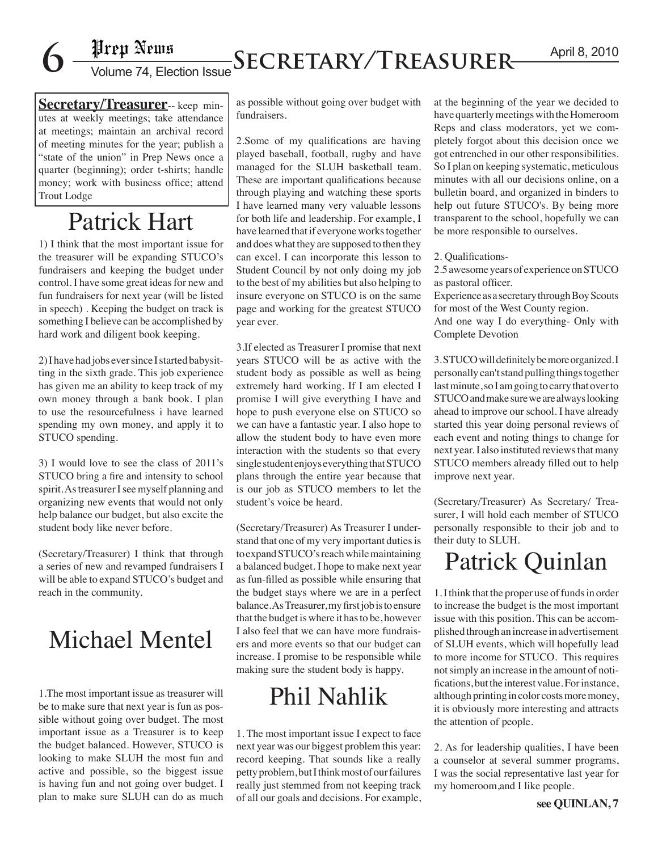# April 8, 2010 **6** Volume 74, Election Issue**Secretary/Treasurer**

**Secretary/Treasurer**-- keep minutes at weekly meetings; take attendance at meetings; maintain an archival record of meeting minutes for the year; publish a "state of the union" in Prep News once a quarter (beginning); order t-shirts; handle money; work with business office; attend Trout Lodge

# Patrick Hart

1) I think that the most important issue for the treasurer will be expanding STUCO's fundraisers and keeping the budget under control. I have some great ideas for new and fun fundraisers for next year (will be listed in speech) . Keeping the budget on track is something I believe can be accomplished by hard work and diligent book keeping.

2) I have had jobs ever since I started babysitting in the sixth grade. This job experience has given me an ability to keep track of my own money through a bank book. I plan to use the resourcefulness i have learned spending my own money, and apply it to STUCO spending.

3) I would love to see the class of 2011's STUCO bring a fire and intensity to school spirit. As treasurer I see myself planning and organizing new events that would not only help balance our budget, but also excite the student body like never before.

(Secretary/Treasurer) I think that through a series of new and revamped fundraisers I will be able to expand STUCO's budget and reach in the community.

## Michael Mentel

1.The most important issue as treasurer will be to make sure that next year is fun as possible without going over budget. The most important issue as a Treasurer is to keep the budget balanced. However, STUCO is looking to make SLUH the most fun and active and possible, so the biggest issue is having fun and not going over budget. I plan to make sure SLUH can do as much

as possible without going over budget with fundraisers.

2.Some of my qualifications are having played baseball, football, rugby and have managed for the SLUH basketball team. These are important qualifications because through playing and watching these sports I have learned many very valuable lessons for both life and leadership. For example, I have learned that if everyone works together and does what they are supposed to then they can excel. I can incorporate this lesson to Student Council by not only doing my job to the best of my abilities but also helping to insure everyone on STUCO is on the same page and working for the greatest STUCO year ever.

3.If elected as Treasurer I promise that next years STUCO will be as active with the student body as possible as well as being extremely hard working. If I am elected I promise I will give everything I have and hope to push everyone else on STUCO so we can have a fantastic year. I also hope to allow the student body to have even more interaction with the students so that every single student enjoys everything that STUCO plans through the entire year because that is our job as STUCO members to let the student's voice be heard.

(Secretary/Treasurer) As Treasurer I understand that one of my very important duties is to expand STUCO's reach while maintaining a balanced budget. I hope to make next year as fun-filled as possible while ensuring that the budget stays where we are in a perfect balance. As Treasurer, my first job is to ensure that the budget is where it has to be, however I also feel that we can have more fundraisers and more events so that our budget can increase. I promise to be responsible while making sure the student body is happy.

## Phil Nahlik

1. The most important issue I expect to face next year was our biggest problem this year: record keeping. That sounds like a really petty problem, but I think most of our failures really just stemmed from not keeping track of all our goals and decisions. For example, at the beginning of the year we decided to have quarterly meetings with the Homeroom Reps and class moderators, yet we completely forgot about this decision once we got entrenched in our other responsibilities. So I plan on keeping systematic, meticulous minutes with all our decisions online, on a bulletin board, and organized in binders to help out future STUCO's. By being more transparent to the school, hopefully we can be more responsible to ourselves.

2. Qualifications-

2.5 awesome years of experience on STUCO as pastoral officer.

Experience as a secretary through Boy Scouts for most of the West County region.

And one way I do everything- Only with Complete Devotion

3. STUCO will definitely be more organized. I personally can't stand pulling things together last minute, so I am going to carry that over to STUCO and make sure we are always looking ahead to improve our school. I have already started this year doing personal reviews of each event and noting things to change for next year. I also instituted reviews that many STUCO members already filled out to help improve next year.

(Secretary/Treasurer) As Secretary/ Treasurer, I will hold each member of STUCO personally responsible to their job and to their duty to SLUH.

### Patrick Quinlan

1. I think that the proper use of funds in order to increase the budget is the most important issue with this position. This can be accomplished through an increase in advertisement of SLUH events, which will hopefully lead to more income for STUCO. This requires not simply an increase in the amount of notifications, but the interest value. For instance, although printing in color costs more money, it is obviously more interesting and attracts the attention of people.

2. As for leadership qualities, I have been a counselor at several summer programs, I was the social representative last year for my homeroom,and I like people.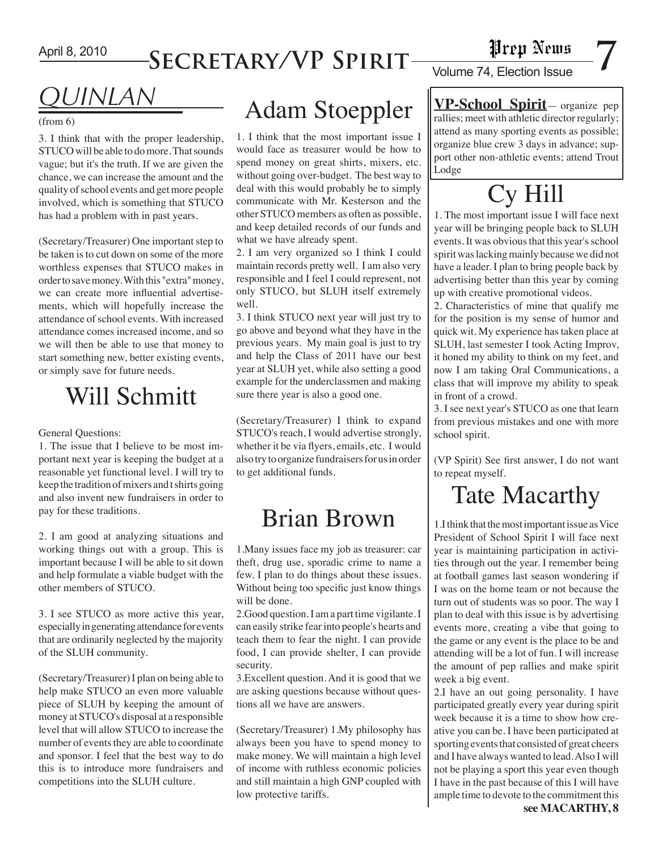## **Secretary/VP Spirit**

# **Fire produce 1**<br>Volume 74, Election Issue

# *QUINLAN*

#### (from 6)

3. I think that with the proper leadership, STUCO will be able to do more. That sounds vague; but it's the truth. If we are given the chance, we can increase the amount and the quality of school events and get more people involved, which is something that STUCO has had a problem with in past years.

(Secretary/Treasurer) One important step to be taken is to cut down on some of the more worthless expenses that STUCO makes in order to save money. With this "extra" money, we can create more influential advertisements, which will hopefully increase the attendance of school events. With increased attendance comes increased income, and so we will then be able to use that money to start something new, better existing events, or simply save for future needs.

### Will Schmitt

#### General Questions:

1. The issue that I believe to be most important next year is keeping the budget at a reasonable yet functional level. I will try to keep the tradition of mixers and t shirts going and also invent new fundraisers in order to pay for these traditions.

2. I am good at analyzing situations and working things out with a group. This is important because I will be able to sit down and help formulate a viable budget with the other members of STUCO.

3. I see STUCO as more active this year, especially in generating attendance for events that are ordinarily neglected by the majority of the SLUH community.

(Secretary/Treasurer) I plan on being able to help make STUCO an even more valuable piece of SLUH by keeping the amount of money at STUCO's disposal at a responsible level that will allow STUCO to increase the number of events they are able to coordinate and sponsor. I feel that the best way to do this is to introduce more fundraisers and competitions into the SLUH culture.

# Adam Stoeppler

1. I think that the most important issue I would face as treasurer would be how to spend money on great shirts, mixers, etc. without going over-budget. The best way to deal with this would probably be to simply communicate with Mr. Kesterson and the other STUCO members as often as possible, and keep detailed records of our funds and what we have already spent.

2. I am very organized so I think I could maintain records pretty well. I am also very responsible and I feel I could represent, not only STUCO, but SLUH itself extremely well.

3. I think STUCO next year will just try to go above and beyond what they have in the previous years. My main goal is just to try and help the Class of 2011 have our best year at SLUH yet, while also setting a good example for the underclassmen and making sure there year is also a good one.

(Secretary/Treasurer) I think to expand STUCO's reach, I would advertise strongly, whether it be via flyers, emails, etc. I would also try to organize fundraisers for us in order to get additional funds.

# Brian Brown

1.Many issues face my job as treasurer: car theft, drug use, sporadic crime to name a few. I plan to do things about these issues. Without being too specific just know things will be done.

2.Good question. I am a part time vigilante. I can easily strike fear into people's hearts and teach them to fear the night. I can provide food, I can provide shelter, I can provide security.

3.Excellent question. And it is good that we are asking questions because without questions all we have are answers.

(Secretary/Treasurer) 1.My philosophy has always been you have to spend money to make money. We will maintain a high level of income with ruthless economic policies and still maintain a high GNP coupled with low protective tariffs.

**VP-School Spirit**— organize pep rallies; meet with athletic director regularly; attend as many sporting events as possible; organize blue crew 3 days in advance; support other non-athletic events; attend Trout Lodge

# Cy Hill

1. The most important issue I will face next year will be bringing people back to SLUH events. It was obvious that this year's school spirit was lacking mainly because we did not have a leader. I plan to bring people back by advertising better than this year by coming up with creative promotional videos.

2. Characteristics of mine that qualify me for the position is my sense of humor and quick wit. My experience has taken place at SLUH, last semester I took Acting Improv, it honed my ability to think on my feet, and now I am taking Oral Communications, a class that will improve my ability to speak in front of a crowd.

3. I see next year's STUCO as one that learn from previous mistakes and one with more school spirit.

(VP Spirit) See first answer, I do not want to repeat myself.

## Tate Macarthy

1.I think that the most important issue as Vice President of School Spirit I will face next year is maintaining participation in activities through out the year. I remember being at football games last season wondering if I was on the home team or not because the turn out of students was so poor. The way I plan to deal with this issue is by advertising events more, creating a vibe that going to the game or any event is the place to be and attending will be a lot of fun. I will increase the amount of pep rallies and make spirit week a big event.

2.I have an out going personality. I have participated greatly every year during spirit week because it is a time to show how creative you can be. I have been participated at sporting events that consisted of great cheers and I have always wanted to lead. Also I will not be playing a sport this year even though I have in the past because of this I will have ample time to devote to the commitment this

**see MACARTHY, 8**